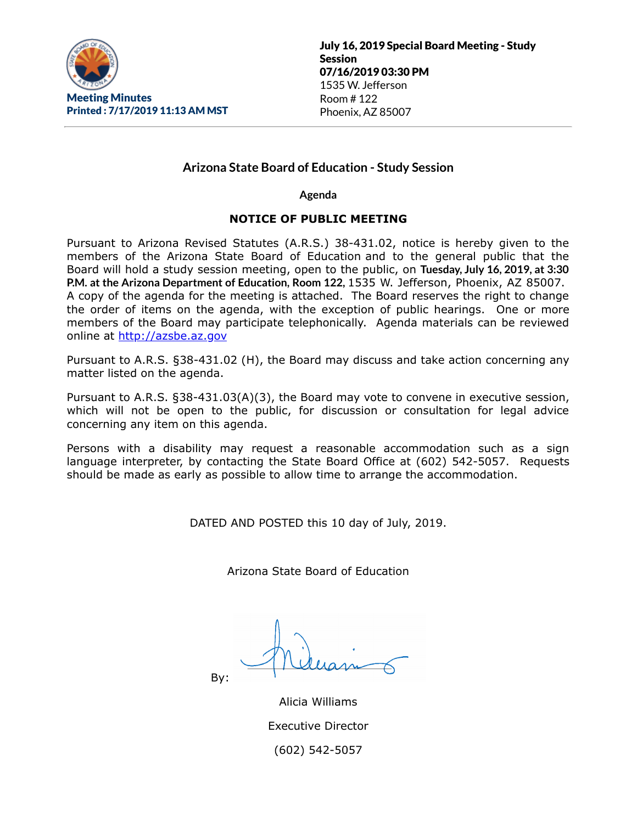

# **Arizona State Board of Education - Study Session**

**Agenda**

### **NOTICE OF PUBLIC MEETING**

Pursuant to Arizona Revised Statutes (A.R.S.) 38-431.02, notice is hereby given to the members of the Arizona State Board of Education and to the general public that the Board will hold a study session meeting, open to the public, on **Tuesday, July 16, 2019, at 3:30 P.M. at the Arizona Department of Education, Room 122,** 1535 W. Jefferson, Phoenix, AZ 85007. A copy of the agenda for the meeting is attached. The Board reserves the right to change the order of items on the agenda, with the exception of public hearings. One or more members of the Board may participate telephonically. Agenda materials can be reviewed online at [http://azsbe.az.gov](http://azsbe.az.gov/)

Pursuant to A.R.S. §38-431.02 (H), the Board may discuss and take action concerning any matter listed on the agenda.

Pursuant to A.R.S. §38-431.03(A)(3), the Board may vote to convene in executive session, which will not be open to the public, for discussion or consultation for legal advice concerning any item on this agenda.

Persons with a disability may request a reasonable accommodation such as a sign language interpreter, by contacting the State Board Office at (602) 542-5057. Requests should be made as early as possible to allow time to arrange the accommodation.

DATED AND POSTED this 10 day of July, 2019.

Arizona State Board of Education

By:

Alicia Williams Executive Director (602) 542-5057